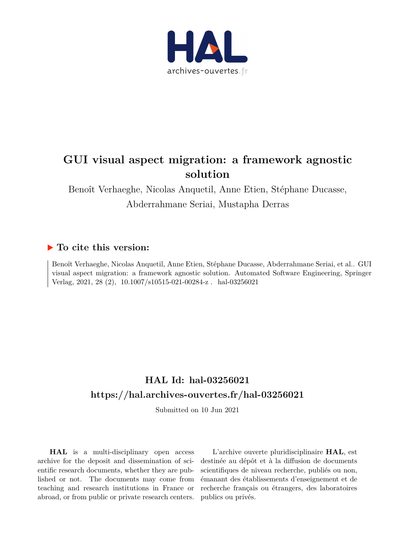

# **GUI visual aspect migration: a framework agnostic solution**

Benoît Verhaeghe, Nicolas Anquetil, Anne Etien, Stéphane Ducasse, Abderrahmane Seriai, Mustapha Derras

# **To cite this version:**

Benoît Verhaeghe, Nicolas Anquetil, Anne Etien, Stéphane Ducasse, Abderrahmane Seriai, et al.. GUI visual aspect migration: a framework agnostic solution. Automated Software Engineering, Springer Verlag, 2021, 28 (2),  $10.1007/s10515-021-00284-z$ . hal-03256021

# **HAL Id: hal-03256021 <https://hal.archives-ouvertes.fr/hal-03256021>**

Submitted on 10 Jun 2021

**HAL** is a multi-disciplinary open access archive for the deposit and dissemination of scientific research documents, whether they are published or not. The documents may come from teaching and research institutions in France or abroad, or from public or private research centers.

L'archive ouverte pluridisciplinaire **HAL**, est destinée au dépôt et à la diffusion de documents scientifiques de niveau recherche, publiés ou non, émanant des établissements d'enseignement et de recherche français ou étrangers, des laboratoires publics ou privés.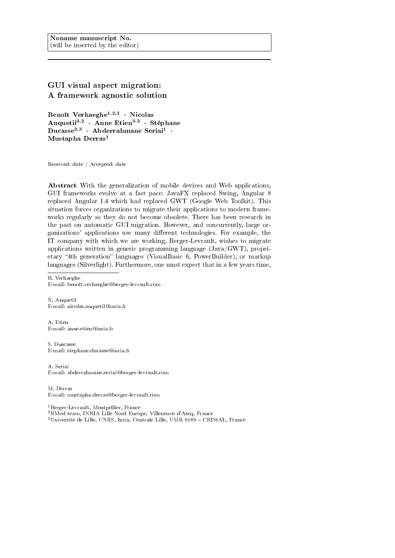# GUI visual aspect migration: A framework agnostic solution

Benoît Verhaeghe $^{1,2,3}$   $\cdot$  Nicolas Anquetil<sup>3,2</sup> · Anne Etien<sup>3,2</sup> · Stéphane Ducasse<sup>2,3</sup> · Abderrahmane Seriai<sup>1</sup> · Mustapha Derras<sup>1</sup>

Received: date / Accepted: date

Abstract With the generalization of mobile devices and Web applications, GUI frameworks evolve at a fast pace: JavaFX replaced Swing, Angular 8 replaced Angular 1.4 which had replaced GWT (Google Web Toolkit). This situation forces organizations to migrate their applications to modern frameworks regularly so they do not become obsolete. There has been research in the past on automatic GUI migration. However, and concurrently, large organisations' applications use many different technologies. For example, the IT company with which we are working, Berger-Levrault, wishes to migrate applications written in generic programming language (Java/GWT), proprietary "4th generation" languages (VisualBasic 6, PowerBuilder), or markup languages (Silverlight). Furthermore, one must expect that in a few years time,

B. Verhaeghe E-mail: benoit.verhaeghe@berger-levrault.com

N. Anquetil E-mail: nicolas.anquetil@inria.fr

A. Etien E-mail: anne.etien@inria.fr

S. Duscasse E-mail: stephane.ducasse@inria.fr

A. Seriai E-mail: abderrahmane.seriai@berger-levrault.com

M. Derras E-mail: mustapha.derras@berger-levrault.com

<sup>1</sup>Berger-Levrault, Montpellier, France

<sup>2</sup>RMod team, INRIA Lille Nord Europe, Villeneuve d'Ascq, France

<sup>3</sup>Université de Lille, CNRS, Inria, Centrale Lille, UMR 9189 CRIStAL, France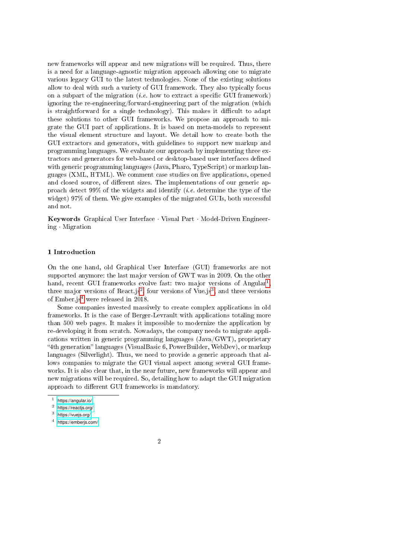new frameworks will appear and new migrations will be required. Thus, there is a need for a language-agnostic migration approach allowing one to migrate various legacy GUI to the latest technologies. None of the existing solutions allow to deal with such a variety of GUI framework. They also typically focus on a subpart of the migration (*i.e.* how to extract a specific GUI framework) ignoring the re-engineering/forward-engineering part of the migration (which is straightforward for a single technology). This makes it difficult to adapt these solutions to other GUI frameworks. We propose an approach to migrate the GUI part of applications. It is based on meta-models to represent the visual element structure and layout. We detail how to create both the GUI extractors and generators, with guidelines to support new markup and programming languages. We evaluate our approach by implementing three extractors and generators for web-based or desktop-based user interfaces dened with generic programming languages (Java, Pharo, TypeScript) or markup languages (XML, HTML). We comment case studies on five applications, opened and closed source, of different sizes. The implementations of our generic approach detect 99% of the widgets and identify (i.e. determine the type of the widget) 97% of them. We give examples of the migrated GUIs, both successful and not.

Keywords Graphical User Interface · Visual Part · Model-Driven Engineering · Migration

#### 1 Introduction

On the one hand, old Graphical User Interface (GUI) frameworks are not supported anymore: the last major version of GWT was in 2009. On the other hand, recent GUI frameworks evolve fast: two major versions of Angular<sup>1</sup>, three major versions of React.js<sup>2</sup>, four versions of Vue.js<sup>3</sup>, and three versions of Ember.js4 were released in 2018.

Some companies invested massively to create complex applications in old frameworks. It is the case of Berger-Levrault with applications totaling more than 500 web pages. It makes it impossible to modernize the application by re-developing it from scratch. Nowadays, the company needs to migrate applications written in generic programming languages (Java/GWT), proprietary "4th generation" languages (VisualBasic 6, PowerBuilder, WebDev), or markup languages (Silverlight). Thus, we need to provide a generic approach that allows companies to migrate the GUI visual aspect among several GUI frameworks. It is also clear that, in the near future, new frameworks will appear and new migrations will be required. So, detailing how to adapt the GUI migration approach to different GUI frameworks is mandatory.

<sup>1</sup> <https://angular.io/>

<sup>2</sup> <https://reactjs.org/>

<sup>3</sup> <https://vuejs.org/>

<sup>4</sup> <https://emberjs.com/>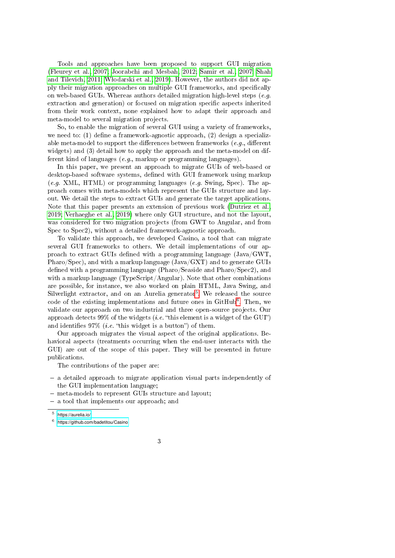Tools and approaches have been proposed to support GUI migration (Fleurey et al., 2007; Joorabchi and Mesbah, 2012; Samir et al., 2007; Shah and Tilevich, 2011; Włodarski et al., 2019). However, the authors did not apply their migration approaches on multiple GUI frameworks, and specifically on web-based GUIs. Whereas authors detailed migration high-level steps  $(e.g.$ extraction and generation) or focused on migration specific aspects inherited from their work context, none explained how to adapt their approach and meta-model to several migration projects.

So, to enable the migration of several GUI using a variety of frameworks, we need to:  $(1)$  define a framework-agnostic approach,  $(2)$  design a specializable meta-model to support the differences between frameworks  $(e, q)$ , different widgets) and (3) detail how to apply the approach and the meta-model on different kind of languages (e.g., markup or programming languages).

In this paper, we present an approach to migrate GUIs of web-based or desktop-based software systems, defined with GUI framework using markup  $(e.g. \text{ XML}, \text{HTML})$  or programming languages  $(e.g. \text{ Swing}, \text{Spec})$ . The approach comes with meta-models which represent the GUIs structure and layout. We detail the steps to extract GUIs and generate the target applications. Note that this paper presents an extension of previous work (Dutriez et al., 2019; Verhaeghe et al., 2019) where only GUI structure, and not the layout, was considered for two migration projects (from GWT to Angular, and from Spec to Spec2), without a detailed framework-agnostic approach.

To validate this approach, we developed Casino, a tool that can migrate several GUI frameworks to others. We detail implementations of our approach to extract GUIs defined with a programming language  $(\text{Java/GWT},$ Pharo/Spec), and with a markup language (Java/GXT) and to generate GUIs defined with a programming language (Pharo/Seaside and Pharo/Spec2), and with a markup language (TypeScript/Angular). Note that other combinations are possible, for instance, we also worked on plain HTML, Java Swing, and Silverlight extractor, and on an Aurelia generator<sup>5</sup>. We released the source code of the existing implementations and future ones in GitHub<sup>6</sup>. Then, we validate our approach on two industrial and three open-source projects. Our approach detects 99% of the widgets (*i.e.* "this element is a widget of the GUI") and identifies  $97\%$  (*i.e.* "this widget is a button") of them.

Our approach migrates the visual aspect of the original applications. Behavioral aspects (treatments occurring when the end-user interacts with the GUI) are out of the scope of this paper. They will be presented in future publications.

The contributions of the paper are:

- $-$  a detailed approach to migrate application visual parts independently of the GUI implementation language;
- meta-models to represent GUIs structure and layout;
- a tool that implements our approach; and

 $5$  <https://aurelia.io/>

 $6$  <https://github.com/badetitou/Casino>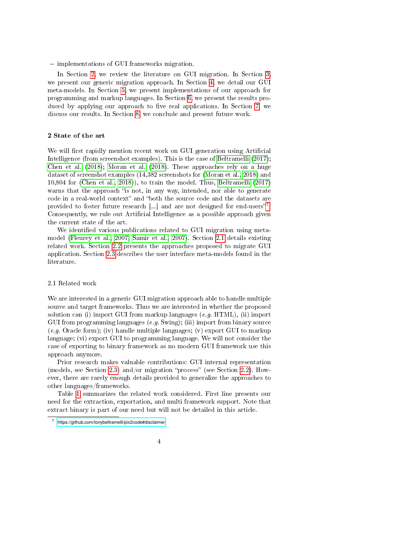$\overline{\phantom{a}}$  implementations of GUI frameworks migration.

In Section 2, we review the literature on GUI migration. In Section 3, we present our generic migration approach. In Section 4, we detail our GUI meta-models. In Section 5, we present implementations of our approach for programming and markup languages. In Section 6, we present the results produced by applying our approach to five real applications. In Section 7, we discuss our results. In Section 8, we conclude and present future work.

#### 2 State of the art

We will first rapidly mention recent work on GUI generation using Artificial Intelligence (from screenshot examples). This is the case of Beltramelli (2017); Chen et al. (2018); Moran et al. (2018). These approaches rely on a huge dataset of screenshot examples (14,382 screenshots for (Moran et al., 2018) and 10,804 for (Chen et al., 2018)), to train the model. Thus, Beltramelli (2017) warns that the approach "is not, in any way, intended, nor able to generate code in a real-world context" and "both the source code and the datasets are provided to foster future research  $\left[\ldots\right]$  and are not designed for end-users"<sup>7</sup>. Consequently, we rule out Artificial Intelligence as a possible approach given the current state of the art.

We identified various publications related to GUI migration using metamodel (Fleurey et al., 2007; Samir et al., 2007). Section 2.1 details existing related work. Section 2.2 presents the approaches proposed to migrate GUI application. Section 2.3 describes the user interface meta-models found in the literature.

#### 2.1 Related work

We are interested in a generic GUI migration approach able to handle multiple source and target frameworks. Thus we are interested in whether the proposed solution can (i) import GUI from markup languages  $(e.g. HTML)$ , (ii) import GUI from programming languages  $(e.g. Swing)$ ; (iii) import from binary source  $(e.g.$  Oracle form); (iv) handle multiple languages; (v) export GUI to markup language; (vi) export GUI to programming language. We will not consider the case of exporting to binary framework as no modern GUI framework use this approach anymore.

Prior research makes valuable contributions: GUI internal representation (models, see Section 2.3) and/or migration "process" (see Section 2.2). However, there are rarely enough details provided to generalize the approaches to other languages/frameworks.

Table 1 summarizes the related work considered. First line presents our need for the extraction, exportation, and multi framework support. Note that extract binary is part of our need but will not be detailed in this article.

<sup>7</sup> <https://github.com/tonybeltramelli/pix2code#disclaimer>

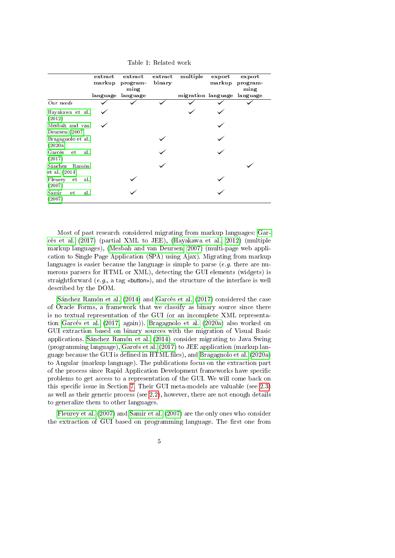Table 1: Related work

|                                  | extract<br>markup | $ext{ract}$<br>program-<br>ming<br>language language | extract<br>binary | multiple<br>migration language language | export<br>markup | export<br>program-<br>ming |
|----------------------------------|-------------------|------------------------------------------------------|-------------------|-----------------------------------------|------------------|----------------------------|
| Our needs                        |                   |                                                      |                   |                                         |                  |                            |
| Hayakawa et al.<br>(2012)        |                   |                                                      |                   |                                         |                  |                            |
| Mesbah and van<br>Deursen (2007) |                   |                                                      |                   |                                         |                  |                            |
| Bragagnolo et al.<br>(2020a)     |                   |                                                      |                   |                                         |                  |                            |
| Garcés et<br>al.<br>(2017)       |                   |                                                      |                   |                                         |                  |                            |
| Sánchez Ramón<br>et al. $(2014)$ |                   |                                                      |                   |                                         |                  |                            |
| Fleurey<br>et<br>al.<br>(2007)   |                   |                                                      |                   |                                         |                  |                            |
| Samir<br>al.<br>et<br>(2007)     |                   |                                                      |                   |                                         |                  |                            |

Most of past research considered migrating from markup languages: Garcés et al. (2017) (partial XML to JEE), (Hayakawa et al., 2012) (multiple markup languages), (Mesbah and van Deursen, 2007) (multi-page web application to Single Page Application (SPA) using Ajax). Migrating from markup languages is easier because the language is simple to parse  $(e.g.$  there are numerous parsers for HTML or XML), detecting the GUI elements (widgets) is straightforward (e.g., a tag <br/>straightform  $\epsilon$ ), and the structure of the interface is well described by the DOM.

Sánchez Ramón et al. (2014) and Garcés et al. (2017) considered the case of Oracle Forms, a framework that we classify as binary source since there is no textual representation of the GUI (or an incomplete XML representation Garcés et al. (2017, again)). Bragagnolo et al. (2020a) also worked on GUI extraction based on binary sources with the migration of Visual Basic applications. Sánchez Ramón et al. (2014) consider migrating to Java Swing (programming language), Garcés et al. (2017) to JEE application (markup language because the GUI is defined in  $HTML$  files), and Bragagnolo et al. (2020a) to Angular (markup language). The publications focus on the extraction part of the process since Rapid Application Development frameworks have specific problems to get access to a representation of the GUI. We will come back on this specific issue in Section 7. Their GUI meta-models are valuable (see  $2.3$ ) as well as their generic process (see 2.2), however, there are not enough details to generalize them to other languages.

Fleurey et al. (2007) and Samir et al. (2007) are the only ones who consider the extraction of GUI based on programming language. The first one from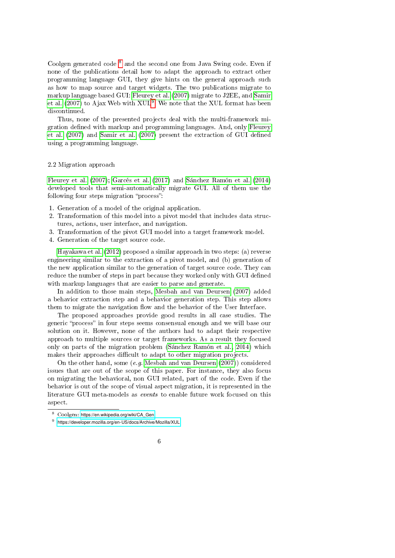Coolgen generated code 8 and the second one from Java Swing code. Even if none of the publications detail how to adapt the approach to extract other programming language GUI, they give hints on the general approach such as how to map source and target widgets. The two publications migrate to markup language based GUI: Fleurey et al. (2007) migrate to J2EE, and Samir et al.  $(2007)$  to Ajax Web with  $XUL<sup>9</sup>$ . We note that the XUL format has been discontinued.

Thus, none of the presented projects deal with the multi-framework migration defined with markup and programming languages. And, only Fleurey et al. (2007) and Samir et al. (2007) present the extraction of GUI defined using a programming language.

#### 2.2 Migration approach

Fleurey et al. (2007); Garcés et al. (2017) and Sánchez Ramón et al. (2014) developed tools that semi-automatically migrate GUI. All of them use the following four steps migration "process":

- 1. Generation of a model of the original application.
- 2. Transformation of this model into a pivot model that includes data structures, actions, user interface, and navigation.
- 3. Transformation of the pivot GUI model into a target framework model.
- 4. Generation of the target source code.

Hayakawa et al. (2012) proposed a similar approach in two steps: (a) reverse engineering similar to the extraction of a pivot model, and (b) generation of the new application similar to the generation of target source code. They can reduce the number of steps in part because they worked only with GUI defined with markup languages that are easier to parse and generate.

In addition to those main steps, Mesbah and van Deursen (2007) added a behavior extraction step and a behavior generation step. This step allows them to migrate the navigation flow and the behavior of the User Interface.

The proposed approaches provide good results in all case studies. The generic "process" in four steps seems consensual enough and we will base our solution on it. However, none of the authors had to adapt their respective approach to multiple sources or target frameworks. As a result they focused only on parts of the migration problem (Sánchez Ramón et al., 2014) which makes their approaches difficult to adapt to other migration projects.

On the other hand, some (e.g. Mesbah and van Deursen (2007)) considered issues that are out of the scope of this paper. For instance, they also focus on migrating the behavioral, non GUI related, part of the code. Even if the behavior is out of the scope of visual aspect migration, it is represented in the literature GUI meta-models as events to enable future work focused on this aspect.

<sup>9</sup> <https://developer.mozilla.org/en-US/docs/Archive/Mozilla/XUL>



<sup>8</sup> Coolgen: [https://en.wikipedia.org/wiki/CA\\_Gen](https://en.wikipedia.org/wiki/CA_Gen)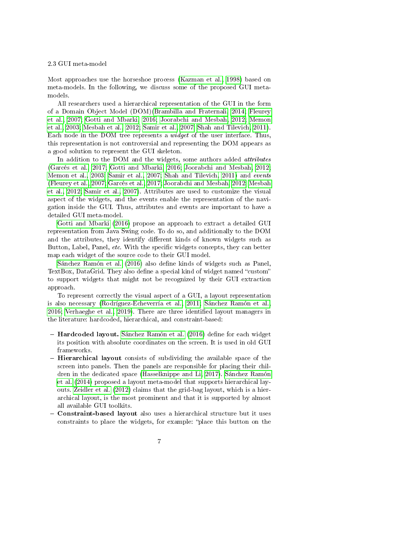#### 2.3 GUI meta-model

Most approaches use the horseshoe process (Kazman et al., 1998) based on meta-models. In the following, we discuss some of the proposed GUI metamodels.

All researchers used a hierarchical representation of the GUI in the form of a Domain Object Model (DOM)(Brambilla and Fraternali, 2014; Fleurey et al., 2007; Gotti and Mbarki, 2016; Joorabchi and Mesbah, 2012; Memon et al., 2003; Mesbah et al., 2012; Samir et al., 2007; Shah and Tilevich, 2011). Each node in the DOM tree represents a widget of the user interface. Thus, this representation is not controversial and representing the DOM appears as a good solution to represent the GUI skeleton.

In addition to the DOM and the widgets, some authors added *attributes* (Garcés et al., 2017; Gotti and Mbarki, 2016; Joorabchi and Mesbah, 2012; Memon et al., 2003; Samir et al., 2007; Shah and Tilevich, 2011) and events (Fleurey et al., 2007; Garcés et al., 2017; Joorabchi and Mesbah, 2012; Mesbah et al., 2012; Samir et al., 2007). Attributes are used to customize the visual aspect of the widgets, and the events enable the representation of the navigation inside the GUI. Thus, attributes and events are important to have a detailed GUI meta-model.

Gotti and Mbarki (2016) propose an approach to extract a detailed GUI representation from Java Swing code. To do so, and additionally to the DOM and the attributes, they identify different kinds of known widgets such as Button, Label, Panel, etc. With the specific widgets concepts, they can better map each widget of the source code to their GUI model.

Sánchez Ramón et al. (2016) also define kinds of widgets such as Panel, TextBox, DataGrid. They also define a special kind of widget named "custom" to support widgets that might not be recognized by their GUI extraction approach.

To represent correctly the visual aspect of a GUI, a layout representation is also necessary (Rodríguez-Echeverría et al., 2011; Sánchez Ramón et al.,  $2016$ ; Verhaeghe et al.,  $2019$ ). There are three identified layout managers in the literature: hardcoded, hierarchical, and constraint-based:

- $-$  Hardcoded layout. Sánchez Ramón et al. (2016) define for each widget its position with absolute coordinates on the screen. It is used in old GUI frameworks.
- $-$  Hierarchical layout consists of subdividing the available space of the screen into panels. Then the panels are responsible for placing their children in the dedicated space (Hasselknippe and Li, 2017). Sánchez Ramón et al. (2014) proposed a layout meta-model that supports hierarchical layouts. Zeidler et al. (2012) claims that the grid-bag layout, which is a hierarchical layout, is the most prominent and that it is supported by almost all available GUI toolkits.
- Constraint-based layout also uses a hierarchical structure but it uses constraints to place the widgets, for example: "place this button on the
	- 7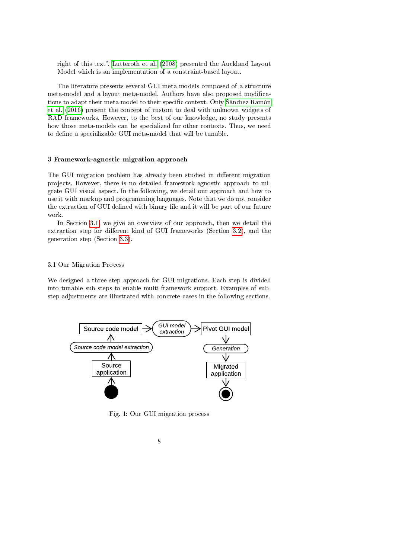right of this text". Lutteroth et al. (2008) presented the Auckland Layout Model which is an implementation of a constraint-based layout.

The literature presents several GUI meta-models composed of a structure meta-model and a layout meta-model. Authors have also proposed modications to adapt their meta-model to their specific context. Only Sánchez Ramón et al. (2016) present the concept of custom to deal with unknown widgets of RAD frameworks. However, to the best of our knowledge, no study presents how those meta-models can be specialized for other contexts. Thus, we need to define a specializable GUI meta-model that will be tunable.

#### 3 Framework-agnostic migration approach

The GUI migration problem has already been studied in different migration projects. However, there is no detailed framework-agnostic approach to migrate GUI visual aspect. In the following, we detail our approach and how to use it with markup and programming languages. Note that we do not consider the extraction of GUI defined with binary file and it will be part of our future work.

In Section 3.1, we give an overview of our approach, then we detail the extraction step for different kind of GUI frameworks (Section 3.2), and the generation step (Section 3.3).

# 3.1 Our Migration Process

We designed a three-step approach for GUI migrations. Each step is divided into tunable sub-steps to enable multi-framework support. Examples of substep adjustments are illustrated with concrete cases in the following sections.



Fig. 1: Our GUI migration process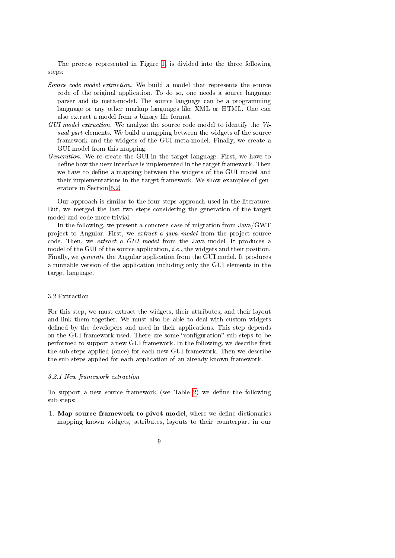The process represented in Figure 1, is divided into the three following steps:

- Source code model extraction. We build a model that represents the source code of the original application. To do so, one needs a source language parser and its meta-model. The source language can be a programming language or any other markup languages like XML or HTML. One can also extract a model from a binary file format.
- $GUI model extraction. We analyze the source code model to identify the Vi$ sual part elements. We build a mapping between the widgets of the source framework and the widgets of the GUI meta-model. Finally, we create a GUI model from this mapping.
- Generation. We re-create the GUI in the target language. First, we have to define how the user interface is implemented in the target framework. Then we have to define a mapping between the widgets of the GUI model and their implementations in the target framework. We show examples of generators in Section 5.2.

Our approach is similar to the four steps approach used in the literature. But, we merged the last two steps considering the generation of the target model and code more trivial.

In the following, we present a concrete case of migration from Java/GWT project to Angular. First, we extract a java model from the project source code. Then, we extract a GUI model from the Java model. It produces a model of the GUI of the source application, *i.e.*, the widgets and their position. Finally, we generate the Angular application from the GUI model. It produces a runnable version of the application including only the GUI elements in the target language.

# 3.2 Extraction

For this step, we must extract the widgets, their attributes, and their layout and link them together. We must also be able to deal with custom widgets defined by the developers and used in their applications. This step depends on the GUI framework used. There are some "configuration" sub-steps to be performed to support a new GUI framework. In the following, we describe first the sub-steps applied (once) for each new GUI framework. Then we describe the sub-steps applied for each application of an already known framework.

#### 3.2.1 New framework extraction

To support a new source framework (see Table 2) we define the following sub-steps:

- 1. Map source framework to pivot model, where we define dictionaries mapping known widgets, attributes, layouts to their counterpart in our
	- 9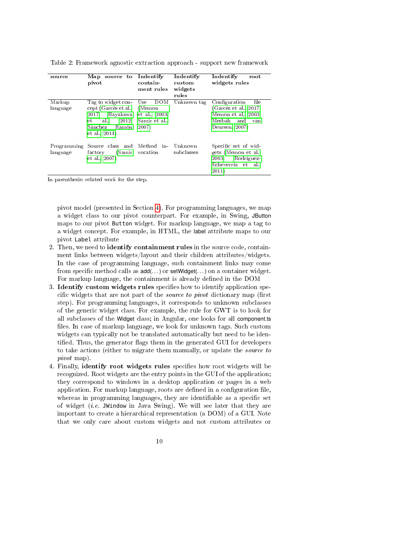| source      | Map source to<br>pivot            | Indentify<br>contain<br>ment rules | Indentify<br>custom<br>widgets<br>rules | Indentify<br>root<br>widgets rules |
|-------------|-----------------------------------|------------------------------------|-----------------------------------------|------------------------------------|
| Markup      | Tag to widget con-                | <b>DOM</b><br>Use                  | Unknown tag                             | Configuration<br>file              |
| language    | cept (Garcés et al.,              | (Memon                             |                                         | (Garcés et al., 2017;              |
|             | Hayakawa<br>2017:                 | et al., 2003;                      |                                         | Memon et al., 2003;                |
|             | 2012:<br>al.,<br>et.              | Samir et al.,                      |                                         | Mesbah<br>and<br>van               |
|             | Sánchez<br>Ramón<br>et al., 2014) | 2007)                              |                                         | Deursen, 2007)                     |
| Programming | Source class and Method in-       |                                    | Unknown                                 | Specific set of wid-               |
| language    | (Samir<br>factory                 | vocation                           | subclasses                              | gets (Memon et al.,                |
|             | et al., 2007)                     |                                    |                                         | 2003:<br>Rodríguez-                |
|             |                                   |                                    |                                         | Echeverría<br>et<br>al.,           |
|             |                                   |                                    |                                         | 2011)                              |

Table 2: Framework agnostic extraction approach - support new framework

In parenthesis: related work for the step.

pivot model (presented in Section 4). For programming languages, we map a widget class to our pivot counterpart. For example, in Swing, JButton maps to our pivot Button widget. For markup language, we map a tag to a widget concept. For example, in HTML, the label attribute maps to our pivot Label attribute

- 2. Then, we need to identify containment rules in the source code, containment links between widgets/layout and their children attributes/widgets. In the case of programming language, such containment links may come from specific method calls as  $add(...)$  or  $setWidget(...)$  on a container widget. For markup language, the containment is already defined in the DOM
- 3. Identify custom widgets rules specifies how to identify application specific widgets that are not part of the *source to pivot* dictionary map (first step). For programming languages, it corresponds to unknown subclasses of the generic widget class. For example, the rule for GWT is to look for all subclasses of the Widget class; in Angular, one looks for all component.ts files. In case of markup language, we look for unknown tags. Such custom widgets can typically not be translated automatically but need to be identified. Thus, the generator flags them in the generated GUI for developers to take actions (either to migrate them manually, or update the source to pivot map).
- 4. Finally, identify root widgets rules specifies how root widgets will be recognized. Root widgets are the entry points in the GUI of the application; they correspond to windows in a desktop application or pages in a web application. For markup language, roots are defined in a configuration file, whereas in programming languages, they are identifiable as a specific set of widget (*i.e.* JWindow in Java Swing). We will see later that they are important to create a hierarchical representation (a DOM) of a GUI. Note that we only care about custom widgets and not custom attributes or
	- 10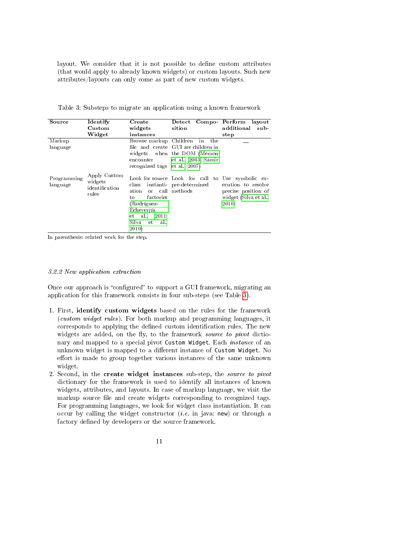layout. We consider that it is not possible to define custom attributes (that would apply to already known widgets) or custom layouts. Such new attributes/layouts can only come as part of new custom widgets.

Table 3: Substeps to migrate an application using a known framework

| Source                  | Identify                                           | Create                                                                                                       | Detect Compo Perform                                                                                  | layout                                                                      |
|-------------------------|----------------------------------------------------|--------------------------------------------------------------------------------------------------------------|-------------------------------------------------------------------------------------------------------|-----------------------------------------------------------------------------|
|                         | Custom                                             | widgets                                                                                                      | sition                                                                                                | additional<br>sub                                                           |
|                         | Widget                                             | instances                                                                                                    |                                                                                                       | step                                                                        |
| Markup                  |                                                    | Browse markup Children                                                                                       | in<br>the                                                                                             |                                                                             |
| language                |                                                    |                                                                                                              | file and create GUI are children in                                                                   |                                                                             |
|                         |                                                    |                                                                                                              | widgets when the DOM (Memon                                                                           |                                                                             |
|                         |                                                    | encounter                                                                                                    | et al., 2003; Samir                                                                                   |                                                                             |
|                         |                                                    | recognized tags et al., 2007)                                                                                |                                                                                                       |                                                                             |
| Programming<br>language | Apply Custom<br>widgets<br>identification<br>rules | ation<br>factories<br>to<br>(Rodríguez-<br>Echeverría<br>al.,<br>2011;<br>et<br>Silva<br>al.,<br>et<br>2010) | Look for source Look for call to Use symbolic ex-<br>class instanti-pre-determined<br>or call methods | ecution to resolve<br>precise position of<br>widget (Silva et al.,<br>2010) |

In parenthesis: related work for the step.

# 3.2.2 New application extraction

Once our approach is "configured" to support a GUI framework, migrating an application for this framework consists in four sub-steps (see Table 3).

- 1. First, identify custom widgets based on the rules for the framework (custom widget rules). For both markup and programming languages, it corresponds to applying the defined custom identification rules. The new widgets are added, on the fly, to the framework source to pivot dictionary and mapped to a special pivot Custom Widget. Each instance of an unknown widget is mapped to a different instance of Custom Widget. No effort is made to group together various instances of the same unknown widget.
- 2. Second, in the create widget instances sub-step, the source to pivot dictionary for the framework is used to identify all instances of known widgets, attributes, and layouts. In case of markup language, we visit the markup source file and create widgets corresponding to recognized tags. For programming languages, we look for widget class instantiation. It can occur by calling the widget constructor (*i.e.* in java: new) or through a factory defined by developers or the source framework.
	- 11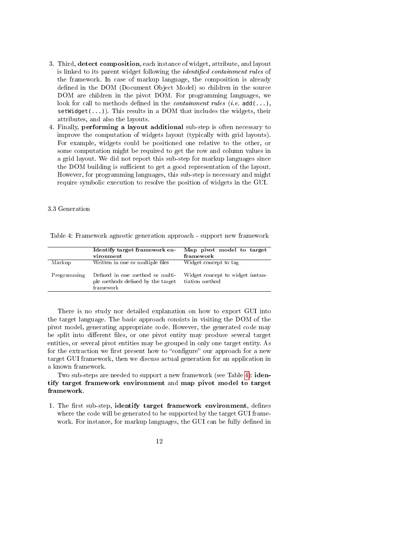- 3. Third, detect composition, each instance of widget, attribute, and layout is linked to its parent widget following the *identified containment rules* of the framework. In case of markup language, the composition is already defined in the DOM (Document Object Model) so children in the source DOM are children in the pivot DOM. For programming languages, we look for call to methods defined in the *containment rules* (*i.e.*  $\text{add}(\ldots),$  $setWidget(...))$ . This results in a DOM that includes the widgets, their attributes, and also the layouts.
- 4. Finally, performing a layout additional sub-step is often necessary to improve the computation of widgets layout (typically with grid layouts). For example, widgets could be positioned one relative to the other, or some computation might be required to get the row and column values in a grid layout. We did not report this sub-step for markup languages since the DOM building is sufficient to get a good representation of the layout. However, for programming languages, this sub-step is necessary and might require symbolic execution to resolve the position of widgets in the GUI.

# 3.3 Generation

Table 4: Framework agnostic generation approach - support new framework

|             | Identify target framework en-<br>vironment                                        | Map pivot model to target<br>framework             |
|-------------|-----------------------------------------------------------------------------------|----------------------------------------------------|
| Markup      | Written in one or multiple files                                                  | Widget concept to tag                              |
| Programming | Defined in one method or multi-<br>ple methods defined by the target<br>framework | Widget concept to widget instan-<br>tiation method |

There is no study nor detailed explanation on how to export GUI into the target language. The basic approach consists in visiting the DOM of the pivot model, generating appropriate code. However, the generated code may be split into different files, or one pivot entity may produce several target entities, or several pivot entities may be grouped in only one target entity. As for the extraction we first present how to "configure" our approach for a new target GUI framework, then we discuss actual generation for an application in a known framework.

Two sub-steps are needed to support a new framework (see Table 4): **iden**tify target framework environment and map pivot model to target framework.

- 1. The first sub-step, identify target framework environment, defines where the code will be generated to be supported by the target GUI framework. For instance, for markup languages, the GUI can be fully defined in
	- 12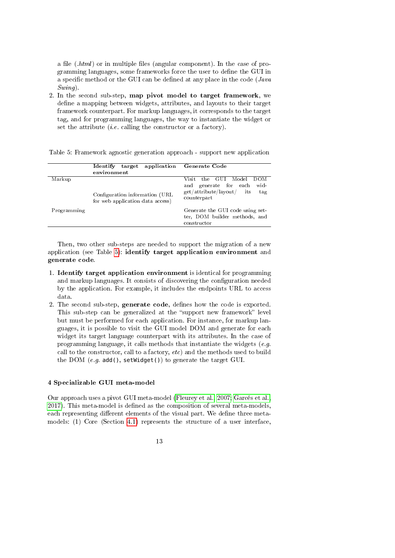a file (.html) or in multiple files (angular component). In the case of programming languages, some frameworks force the user to define the GUI in a specific method or the GUI can be defined at any place in the code ( $Java$ Swing).

2. In the second sub-step, map pivot model to target framework, we define a mapping between widgets, attributes, and layouts to their target framework counterpart. For markup languages, it corresponds to the target tag, and for programming languages, the way to instantiate the widget or set the attribute  $(i.e.$  calling the constructor or a factory).

|             | <b>Identify</b><br>target<br>environment                            | application Generate Code                                                                                                   |
|-------------|---------------------------------------------------------------------|-----------------------------------------------------------------------------------------------------------------------------|
| Markup      | Configuration information (URL)<br>for web application data access) | the GUI<br>DO M<br>Model<br>Visit<br>wid-<br>generate for each<br>and<br>get/attribute/layout/<br>its<br>tag<br>counterpart |
| Programming |                                                                     | Generate the GUI code using set-<br>ter, DOM builder methods, and<br>constructor                                            |

Table 5: Framework agnostic generation approach - support new application

Then, two other sub-steps are needed to support the migration of a new application (see Table 5): identify target application environment and generate code.

- 1. Identify target application environment is identical for programming and markup languages. It consists of discovering the configuration needed by the application. For example, it includes the endpoints URL to access data.
- 2. The second sub-step, generate code, defines how the code is exported. This sub-step can be generalized at the "support new framework" level but must be performed for each application. For instance, for markup languages, it is possible to visit the GUI model DOM and generate for each widget its target language counterpart with its attributes. In the case of programming language, it calls methods that instantiate the widgets (e.g. call to the constructor, call to a factory, etc) and the methods used to build the DOM  $(e.g.$  add(), setWidget()) to generate the target GUI.

# 4 Specializable GUI meta-model

Our approach uses a pivot GUI meta-model (Fleurey et al., 2007; Garcés et al., 2017). This meta-model is defined as the composition of several meta-models, each representing different elements of the visual part. We define three metamodels: (1) Core (Section 4.1) represents the structure of a user interface,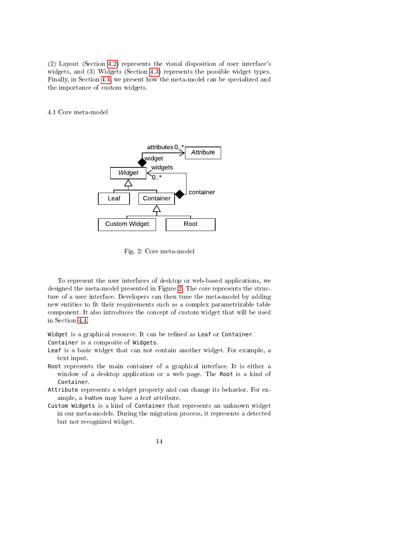(2) Layout (Section 4.2) represents the visual disposition of user interface's widgets, and (3) Widgets (Section 4.3) represents the possible widget types. Finally, in Section 4.4, we present how the meta-model can be specialized and the importance of custom widgets.

4.1 Core meta-model



Fig. 2: Core meta-model

To represent the user interfaces of desktop or web-based applications, we designed the meta-model presented in Figure 2. The core represents the structure of a user interface. Developers can then tune the meta-model by adding new entities to fit their requirements such as a complex parametrizable table component. It also introduces the concept of custom widget that will be used in Section 4.4.

Widget is a graphical resource. It can be refined as Leaf or Container. Container is a composite of Widgets.

- Leaf is a basic widget that can not contain another widget. For example, a text input.
- Root represents the main container of a graphical interface. It is either a window of a desktop application or a web page. The Root is a kind of Container.
- Attribute represents a widget property and can change its behavior. For example, a button may have a text attribute.
- Custom Widgets is a kind of Container that represents an unknown widget in our meta-models. During the migration process, it represents a detected but not recognized widget.

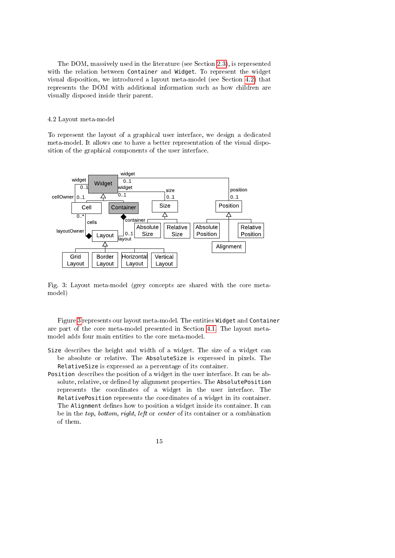The DOM, massively used in the literature (see Section 2.3), is represented with the relation between Container and Widget. To represent the widget visual disposition, we introduced a layout meta-model (see Section 4.2) that represents the DOM with additional information such as how children are visually disposed inside their parent.

# 4.2 Layout meta-model

To represent the layout of a graphical user interface, we design a dedicated meta-model. It allows one to have a better representation of the visual disposition of the graphical components of the user interface.



Fig. 3: Layout meta-model (grey concepts are shared with the core metamodel)

Figure 3 represents our layout meta-model. The entities Widget and Container are part of the core meta-model presented in Section 4.1. The layout metamodel adds four main entities to the core meta-model.

- Size describes the height and width of a widget. The size of a widget can be absolute or relative. The AbsoluteSize is expressed in pixels. The RelativeSize is expressed as a percentage of its container.
- Position describes the position of a widget in the user interface. It can be absolute, relative, or defined by alignment properties. The AbsolutePosition represents the coordinates of a widget in the user interface. The RelativePosition represents the coordinates of a widget in its container. The Alignment defines how to position a widget inside its container. It can be in the top, bottom, right, left or center of its container or a combination of them.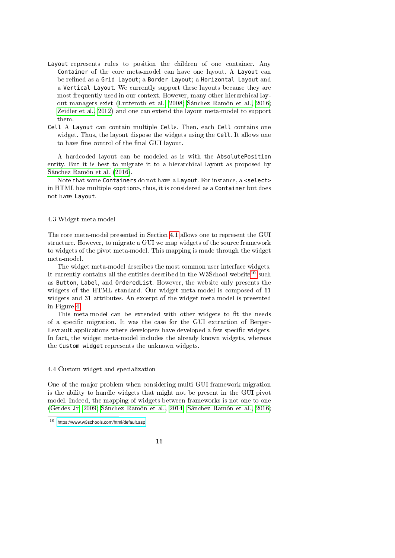- Layout represents rules to position the children of one container. Any Container of the core meta-model can have one layout. A Layout can be refined as a Grid Layout; a Border Layout; a Horizontal Layout and a Vertical Layout. We currently support these layouts because they are most frequently used in our context. However, many other hierarchical layout managers exist (Lutteroth et al., 2008; Sánchez Ramón et al., 2016; Zeidler et al., 2012) and one can extend the layout meta-model to support them.
- Cell A Layout can contain multiple Cells. Then, each Cell contains one widget. Thus, the layout dispose the widgets using the Cell. It allows one to have fine control of the final GUI layout.

A hardcoded layout can be modeled as is with the AbsolutePosition entity. But it is best to migrate it to a hierarchical layout as proposed by Sánchez Ramón et al. (2016).

Note that some Containers do not have a Layout. For instance, a <select> in HTML has multiple <option>, thus, it is considered as a Container but does not have Layout.

#### 4.3 Widget meta-model

The core meta-model presented in Section 4.1 allows one to represent the GUI structure. However, to migrate a GUI we map widgets of the source framework to widgets of the pivot meta-model. This mapping is made through the widget meta-model.

The widget meta-model describes the most common user interface widgets. It currently contains all the entities described in the W3School website<sup>10</sup> such as Button, Label, and OrderedList. However, the website only presents the widgets of the HTML standard. Our widget meta-model is composed of 61 widgets and 31 attributes. An excerpt of the widget meta-model is presented in Figure 4.

This meta-model can be extended with other widgets to fit the needs of a specific migration. It was the case for the GUI extraction of Berger-Levrault applications where developers have developed a few specific widgets. In fact, the widget meta-model includes the already known widgets, whereas the Custom widget represents the unknown widgets.

#### 4.4 Custom widget and specialization

One of the major problem when considering multi GUI framework migration is the ability to handle widgets that might not be present in the GUI pivot model. Indeed, the mapping of widgets between frameworks is not one to one (Gerdes Jr, 2009; Sánchez Ramón et al., 2014; Sánchez Ramón et al., 2016;

<https://www.w3schools.com/html/default.asp>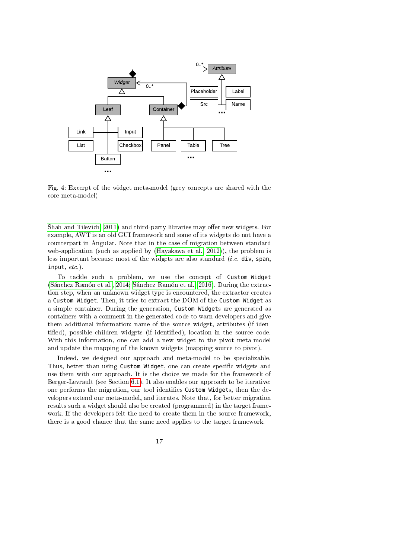

Fig. 4: Excerpt of the widget meta-model (grey concepts are shared with the core meta-model)

Shah and Tilevich, 2011) and third-party libraries may offer new widgets. For example, AWT is an old GUI framework and some of its widgets do not have a counterpart in Angular. Note that in the case of migration between standard web-application (such as applied by (Hayakawa et al., 2012)), the problem is less important because most of the widgets are also standard *(i.e.* div, span, input, etc.).

To tackle such a problem, we use the concept of Custom Widget (Sánchez Ramón et al., 2014; Sánchez Ramón et al., 2016). During the extraction step, when an unknown widget type is encountered, the extractor creates a Custom Widget. Then, it tries to extract the DOM of the Custom Widget as a simple container. During the generation, Custom Widgets are generated as containers with a comment in the generated code to warn developers and give them additional information: name of the source widget, attributes (if identified), possible children widgets (if identified), location in the source code. With this information, one can add a new widget to the pivot meta-model and update the mapping of the known widgets (mapping source to pivot).

Indeed, we designed our approach and meta-model to be specializable. Thus, better than using Custom Widget, one can create specific widgets and use them with our approach. It is the choice we made for the framework of Berger-Levrault (see Section 6.1). It also enables our approach to be iterative: one performs the migration, our tool identifies Custom Widgets, then the developers extend our meta-model, and iterates. Note that, for better migration results such a widget should also be created (programmed) in the target framework. If the developers felt the need to create them in the source framework, there is a good chance that the same need applies to the target framework.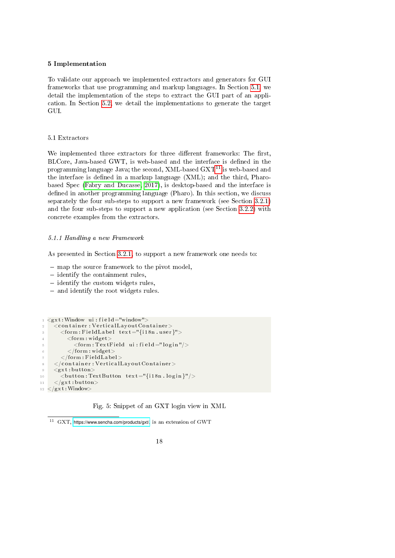# 5 Implementation

To validate our approach we implemented extractors and generators for GUI frameworks that use programming and markup languages. In Section 5.1, we detail the implementation of the steps to extract the GUI part of an application. In Section 5.2, we detail the implementations to generate the target GUI.

#### 5.1 Extractors

We implemented three extractors for three different frameworks: The first, BLCore, Java-based GWT, is web-based and the interface is defined in the programming language Java; the second, XML-based  $\text{GXT}^{11}$  is web-based and the interface is defined in a markup language  $(XML)$ ; and the third, Pharobased Spec (Fabry and Ducasse, 2017), is desktop-based and the interface is defined in another programming language (Pharo). In this section, we discuss separately the four sub-steps to support a new framework (see Section 3.2.1) and the four sub-steps to support a new application (see Section 3.2.2) with concrete examples from the extractors.

#### 5.1.1 Handling a new Framework

As presented in Section 3.2.1, to support a new framework one needs to:

- map the source framework to the pivot model,
- $-$  identify the containment rules,
- $\overline{\phantom{a}}$  identify the custom widgets rules,
- and identify the root widgets rules.

```
\langle \text{gxt} : \text{Window} \space u \text{ i : } \text{field} = " \text{window} " \rangle\bar{z} < container : VerticalLayout Container >\leq form : Field Label text = "{i18n.user}">
            <form : widget>\le form : Text Field ui : field ="login"/>
            \langleform:widget>\texttt{</form: FieldLabel>}\langle / container : V ertical Layout Container >
9 \langle gxt : \text{button} \rangle10 <br/>
\leqbutton: TextButton text = "{i18n. login}"/>
11 \langle /gxt : button>
_{12} </gxt : Window>
```
Fig. 5: Snippet of an GXT login view in XML

 $11$  GXT, <https://www.sencha.com/products/gxt/>, is an extension of GWT

<sup>18</sup>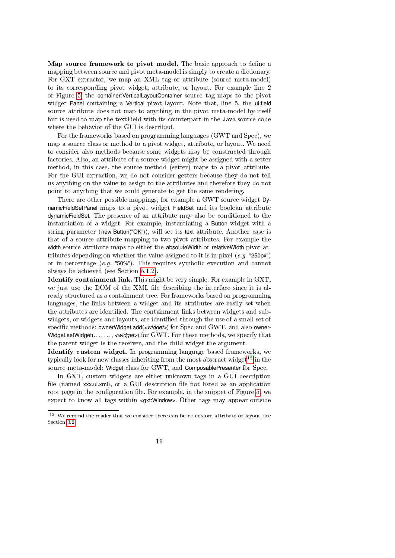Map source framework to pivot model. The basic approach to define a mapping between source and pivot meta-model is simply to create a dictionary. For GXT extractor, we map an XML tag or attribute (source meta-model) to its corresponding pivot widget, attribute, or layout. For example line 2 of Figure 5, the container:VerticalLayoutContainer source tag maps to the pivot widget Panel containing a Vertical pivot layout. Note that, line 5, the ui:field source attribute does not map to anything in the pivot meta-model by itself but is used to map the textField with its counterpart in the Java source code where the behavior of the GUI is described.

For the frameworks based on programming languages (GWT and Spec), we map a source class or method to a pivot widget, attribute, or layout. We need to consider also methods because some widgets may be constructed through factories. Also, an attribute of a source widget might be assigned with a setter method, in this case, the source method (setter) maps to a pivot attribute. For the GUI extraction, we do not consider getters because they do not tell us anything on the value to assign to the attributes and therefore they do not point to anything that we could generate to get the same rendering.

There are other possible mappings, for example a GWT source widget DynamicFieldSetPanel maps to a pivot widget FieldSet and its boolean attribute dynamicFieldSet. The presence of an attribute may also be conditioned to the instantiation of a widget. For example, instantiating a Button widget with a string parameter (new Button("OK")), will set its text attribute. Another case is that of a source attribute mapping to two pivot attributes. For example the width source attribute maps to either the absoluteWidth or relativeWidth pivot attributes depending on whether the value assigned to it is in pixel  $(e.g.$  "250px") or in percentage (e.g. "50%"). This requires symbolic execution and cannot always be achieved (see Section 5.1.2).

Identify containment link. This might be very simple. For example in GXT, we just use the DOM of the XML file describing the interface since it is already structured as a containment tree. For frameworks based on programming languages, the links between a widget and its attributes are easily set when the attributes are identified. The containment links between widgets and subwidgets, or widgets and layouts, are identified through the use of a small set of specific methods: ownerWidget.add(*<widget*>) for Spec and GWT, and also owner-Widget.setWidget(..., ..., *<widget*>) for GWT. For these methods, we specify that the parent widget is the receiver, and the child widget the argument.

Identify custom widget. In programming language based frameworks, we typically look for new classes inheriting from the most abstract widget<sup>12</sup> in the source meta-model: Widget class for GWT, and ComposablePresenter for Spec.

In GXT, custom widgets are either unknown tags in a GUI description file (named xxx.ui.xml), or a GUI description file not listed as an application root page in the configuration file. For example, in the snippet of Figure 5, we expect to know all tags within <gxt:Window>. Other tags may appear outside

 $12$  We remind the reader that we consider there can be no custom attribute or layout, see Section 3.2

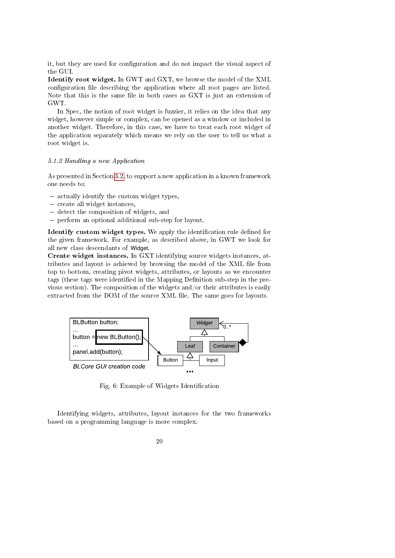it, but they are used for configuration and do not impact the visual aspect of the GUI.

Identify root widget. In GWT and GXT, we browse the model of the XML configuration file describing the application where all root pages are listed. Note that this is the same file in both cases as GXT is just an extension of GWT.

In Spec, the notion of root widget is fuzzier, it relies on the idea that any widget, however simple or complex, can be opened as a window or included in another widget. Therefore, in this case, we have to treat each root widget of the application separately which means we rely on the user to tell us what a root widget is.

#### 5.1.2 Handling a new Application

As presented in Section 3.2, to support a new application in a known framework one needs to:

- actually identify the custom widget types,
- create all widget instances,
- detect the composition of widgets, and
- perform an optional additional sub-step for layout.

Identify custom widget types. We apply the identification rule defined for the given framework. For example, as described above, in GWT we look for all new class descendants of Widget.

Create widget instances. In GXT identifying source widgets instances, attributes and layout is achieved by browsing the model of the XML file from top to bottom, creating pivot widgets, attributes, or layouts as we encounter tags (these tags were identified in the Mapping Definition sub-step in the previous section). The composition of the widgets and/or their attributes is easily extracted from the DOM of the source XML file. The same goes for layouts.



Fig. 6: Example of Widgets Identification

Identifying widgets, attributes, layout instances for the two frameworks based on a programming language is more complex.

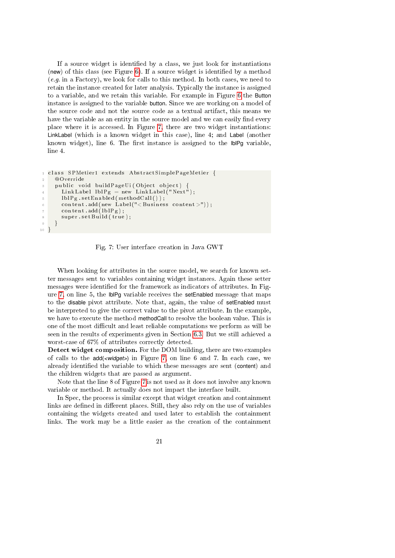If a source widget is identified by a class, we just look for instantiations (new) of this class (see Figure  $6$ ). If a source widget is identified by a method  $(e, q.$  in a Factory), we look for calls to this method. In both cases, we need to retain the instance created for later analysis. Typically the instance is assigned to a variable, and we retain this variable. For example in Figure 6 the Button instance is assigned to the variable button. Since we are working on a model of the source code and not the source code as a textual artifact, this means we have the variable as an entity in the source model and we can easily find every place where it is accessed. In Figure 7, there are two widget instantiations: LinkLabel (which is a known widget in this case), line 4; and Label (another known widget), line 6. The first instance is assigned to the  $\mathsf{IDIPq}$  variable, line 4.

```
class SPMetier1 extends AbstractSimplePageMetier {
2 @Override
3 public void buildPageUi(Object object) {
      LinkLabel lblPg = new LinkLabel ("Next");
5 lblPg.setEnabled(methodCall());
6 content add (new Label ("< Business content >"));
      content.add(1b1Pg);
      super.setBuild(true);
9 }
10 }
```
Fig. 7: User interface creation in Java GWT

When looking for attributes in the source model, we search for known setter messages sent to variables containing widget instances. Again these setter messages were identified for the framework as indicators of attributes. In Figure 7, on line 5, the lblPg variable receives the setEnabled message that maps to the disable pivot attribute. Note that, again, the value of setEnabled must be interpreted to give the correct value to the pivot attribute. In the example, we have to execute the method methodCall to resolve the boolean value. This is one of the most difficult and least reliable computations we perform as will be seen in the results of experiments given in Section 6.3. But we still achieved a worst-case of 67% of attributes correctly detected.

Detect widget composition. For the DOM building, there are two examples of calls to the add(*<widget>*) in Figure 7, on line 6 and 7. In each case, we already identified the variable to which these messages are sent (content) and the children widgets that are passed as argument.

Note that the line 8 of Figure 7 is not used as it does not involve any known variable or method. It actually does not impact the interface built.

In Spec, the process is similar except that widget creation and containment links are defined in different places. Still, they also rely on the use of variables containing the widgets created and used later to establish the containment links. The work may be a little easier as the creation of the containment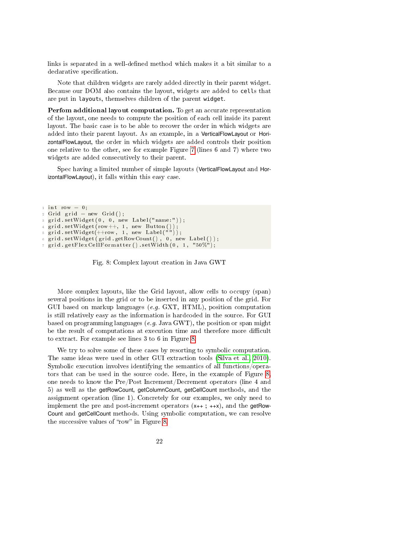links is separated in a well-defined method which makes it a bit similar to a declarative specification.

Note that children widgets are rarely added directly in their parent widget. Because our DOM also contains the layout, widgets are added to cells that are put in layouts, themselves children of the parent widget.

Perfom additional layout computation. To get an accurate representation of the layout, one needs to compute the position of each cell inside its parent layout. The basic case is to be able to recover the order in which widgets are added into their parent layout. As an example, in a VerticalFlowLayout or HorizontalFlowLayout, the order in which widgets are added controls their position one relative to the other, see for example Figure 7 (lines 6 and 7) where two widgets are added consecutively to their parent.

Spec having a limited number of simple layouts (VerticalFlowLayout and HorizontalFlowLayout), it falls within this easy case.

```
\sin t row = 0;
2 Grid grid = new Grid ();
3 grid . set Widget (0, 0, new Label ("name:") );
  grid.setWidget (row++, 1, new Button ());5 \text{ grid} . set W \text{ id get } (++\text{row}, 1, \text{ new Label } (\overset{...}{\text{ }})^{\text{ }});6 grid . set Widget (grid . get RowCount (), 0, new Label ());
\tau grid . get Flex CellFormatter () . set Width (0, 1, "50\%");
```
Fig. 8: Complex layout creation in Java GWT

More complex layouts, like the Grid layout, allow cells to occupy (span) several positions in the grid or to be inserted in any position of the grid. For GUI based on markup languages (e.g. GXT, HTML), position computation is still relatively easy as the information is hardcoded in the source. For GUI based on programming languages (e.g. Java GWT), the position or span might be the result of computations at execution time and therefore more difficult to extract. For example see lines 3 to 6 in Figure 8.

We try to solve some of these cases by resorting to symbolic computation. The same ideas were used in other GUI extraction tools (Silva et al., 2010). Symbolic execution involves identifying the semantics of all functions/operators that can be used in the source code. Here, in the example of Figure 8, one needs to know the Pre/Post Increment/Decrement operators (line 4 and 5) as well as the getRowCount, getColumnCount, getCellCount methods, and the assignment operation (line 1). Concretely for our examples, we only need to implement the pre and post-increment operators  $(x_{++}; +x)$ , and the getRow-Count and getCellCount methods. Using symbolic computation, we can resolve the successive values of "row" in Figure 8.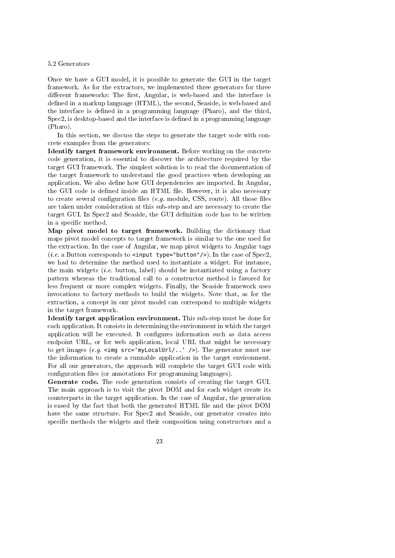#### 5.2 Generators

Once we have a GUI model, it is possible to generate the GUI in the target framework. As for the extractors, we implemented three generators for three different frameworks: The first, Angular, is web-based and the interface is defined in a markup language (HTML), the second, Seaside, is web-based and the interface is defined in a programming language (Pharo), and the third,  $Spec2$ , is desktop-based and the interface is defined in a programming language (Pharo).

In this section, we discuss the steps to generate the target code with concrete examples from the generators:

Identify target framework environment. Before working on the concrete code generation, it is essential to discover the architecture required by the target GUI framework. The simplest solution is to read the documentation of the target framework to understand the good practices when developing an application. We also define how GUI dependencies are imported. In Angular, the GUI code is defined inside an HTML file. However, it is also necessary to create several configuration files (e.g. module, CSS, route). All those files are taken under consideration at this sub-step and are necessary to create the target GUI. In Spec2 and Seaside, the GUI definition code has to be written in a specific method.

Map pivot model to target framework. Building the dictionary that maps pivot model concepts to target framework is similar to the one used for the extraction. In the case of Angular, we map pivot widgets to Angular tags (*i.e.* a Button corresponds to  $\langle$ **input type="button"/>)**. In the case of Spec2, we had to determine the method used to instantiate a widget. For instance, the main widgets  $(i.e.$  button, label) should be instantiated using a factory pattern whereas the traditional call to a constructor method is favored for less frequent or more complex widgets. Finally, the Seaside framework uses invocations to factory methods to build the widgets. Note that, as for the extraction, a concept in our pivot model can correspond to multiple widgets in the target framework.

Identify target application environment. This sub-step must be done for each application. It consists in determining the environment in which the target application will be executed. It configures information such as data access endpoint URL, or for web application, local URL that might be necessary to get images (e.g.  $\langle$ img src='myLocalUrl/..' />). The generator must use the information to create a runnable application in the target environment. For all our generators, the approach will complete the target GUI code with configuration files (or annotations For programming languages).

Generate code. The code generation consists of creating the target GUI. The main approach is to visit the pivot DOM and for each widget create its counterparts in the target application. In the case of Angular, the generation is eased by the fact that both the generated HTML file and the pivot DOM have the same structure. For Spec2 and Seaside, our generator creates into specific methods the widgets and their composition using constructors and a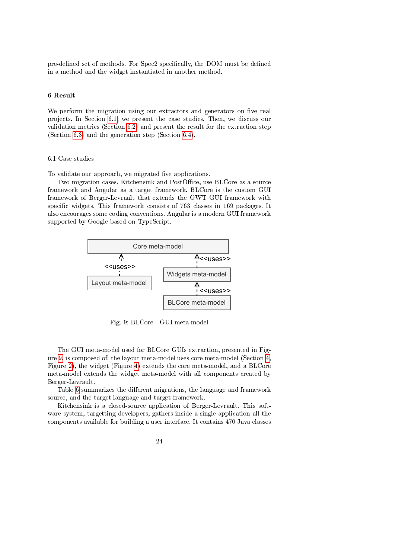pre-defined set of methods. For Spec2 specifically, the DOM must be defined in a method and the widget instantiated in another method.

#### 6 Result

We perform the migration using our extractors and generators on five real projects. In Section 6.1, we present the case studies. Then, we discuss our validation metrics (Section 6.2) and present the result for the extraction step (Section 6.3) and the generation step (Section 6.4).

# 6.1 Case studies

To validate our approach, we migrated five applications.

Two migration cases, Kitchensink and PostOffice, use BLCore as a source framework and Angular as a target framework. BLCore is the custom GUI framework of Berger-Levrault that extends the GWT GUI framework with specific widgets. This framework consists of 763 classes in 169 packages. It also encourages some coding conventions. Angular is a modern GUI framework supported by Google based on TypeScript.



Fig. 9: BLCore - GUI meta-model

The GUI meta-model used for BLCore GUIs extraction, presented in Figure 9, is composed of: the layout meta-model uses core meta-model (Section 4, Figure 2), the widget (Figure 4) extends the core meta-model, and a BLCore meta-model extends the widget meta-model with all components created by Berger-Levrault.

Table 6 summarizes the different migrations, the language and framework source, and the target language and target framework.

Kitchensink is a closed-source application of Berger-Levrault. This software system, targetting developers, gathers inside a single application all the components available for building a user interface. It contains 470 Java classes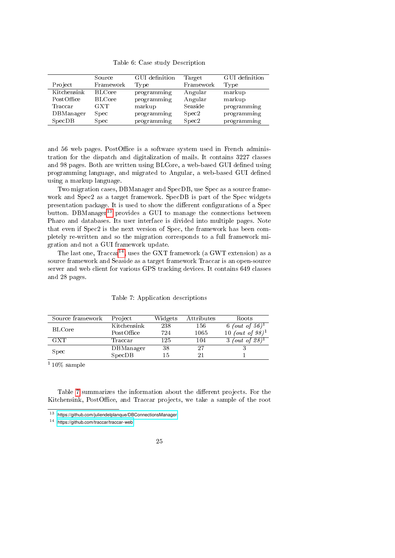Table 6: Case study Description

|             | Source        | GUI definition | Target    | GUI definition |
|-------------|---------------|----------------|-----------|----------------|
| Project     | Framework     | Type           | Framework | Type           |
| Kitchensink | <b>BLCore</b> | programming    | Angular   | markup         |
| PostOffice  | <b>BLCore</b> | programming    | Angular   | markup         |
| Traccar     | <b>GXT</b>    | markup         | Seaside   | programming    |
| DBManager   | Spec          | programming    | Spec2     | programming    |
| SpecDB      | Spec          | programming    | Spec2     | programming    |

and 56 web pages. PostOffice is a software system used in French administration for the dispatch and digitalization of mails. It contains 3227 classes and 98 pages. Both are written using BLCore, a web-based GUI defined using programming language, and migrated to Angular, a web-based GUI defined using a markup language.

Two migration cases, DBManager and SpecDB, use Spec as a source framework and Spec2 as a target framework. SpecDB is part of the Spec widgets presentation package. It is used to show the different configurations of a Spec button. DBManager<sup>13</sup> provides a GUI to manage the connections between Pharo and databases. Its user interface is divided into multiple pages. Note that even if Spec2 is the next version of Spec, the framework has been completely re-written and so the migration corresponds to a full framework migration and not a GUI framework update.

The last one,  $Tracear^{14}$ , uses the GXT framework (a GWT extension) as a source framework and Seaside as a target framework Traccar is an open-source server and web client for various GPS tracking devices. It contains 649 classes and 28 pages.

| Source framework | Project     | Widgets | Attributes | Roots                         |
|------------------|-------------|---------|------------|-------------------------------|
| <b>BLCore</b>    | Kitchensink | 238     | 156        | (out of 56) <sup>1</sup><br>6 |
|                  | PostOffice  | 724     | 1065       | 10 (out of $98)^1$            |
| <b>GXT</b>       | 'I`raccar   | 125     | 104        | (out of 28) <sup>1</sup>      |
| S <sub>pec</sub> | DBManager   | 38      | 27         |                               |
|                  | SpecDB      | 15      | 21         |                               |

#### Table 7: Application descriptions

 $110\%$  sample

Table 7 summarizes the information about the different projects. For the Kitchensink, PostOffice, and Traccar projects, we take a sample of the root

<sup>13</sup> <https://github.com/juliendelplanque/DBConnectionsManager>

<sup>14</sup> <https://github.com/traccar/traccar-web>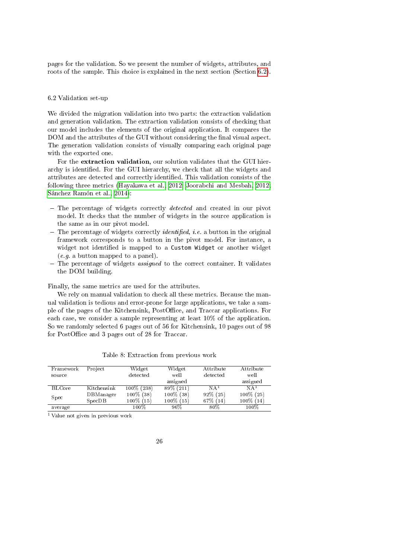pages for the validation. So we present the number of widgets, attributes, and roots of the sample. This choice is explained in the next section (Section 6.2).

#### 6.2 Validation set-up

We divided the migration validation into two parts: the extraction validation and generation validation. The extraction validation consists of checking that our model includes the elements of the original application. It compares the DOM and the attributes of the GUI without considering the final visual aspect. The generation validation consists of visually comparing each original page with the exported one.

For the extraction validation, our solution validates that the GUI hierarchy is identified. For the GUI hierarchy, we check that all the widgets and attributes are detected and correctly identified. This validation consists of the following three metrics (Hayakawa et al., 2012; Joorabchi and Mesbah, 2012; Sánchez Ramón et al., 2014):

- $-$  The percentage of widgets correctly *detected* and created in our pivot model. It checks that the number of widgets in the source application is the same as in our pivot model.
- The percentage of widgets correctly *identified*, *i.e.* a button in the original framework corresponds to a button in the pivot model. For instance, a widget not identified is mapped to a Custom Widget or another widget (e.g. a button mapped to a panel).
- $-$  The percentage of widgets *assigned* to the correct container. It validates the DOM building.

Finally, the same metrics are used for the attributes.

We rely on manual validation to check all these metrics. Because the manual validation is tedious and error-prone for large applications, we take a sample of the pages of the Kitchensink, PostOffice, and Traccar applications. For each case, we consider a sample representing at least 10% of the application. So we randomly selected 6 pages out of 56 for Kitchensink, 10 pages out of 98 for PostOffice and 3 pages out of 28 for Traccar.

| Framework     | Project     | Widget        | Widget       | Attribute       | Attribute       |
|---------------|-------------|---------------|--------------|-----------------|-----------------|
| source        |             | detected      | well         | detected        | well            |
|               |             |               | assigned     |                 | assigned        |
| <b>BLCore</b> | Kitchensink | $100\%$ (238) | 89% (211)    | NA <sup>T</sup> | NA <sup>T</sup> |
| Spec          | DBManager   | 100% (38)     | $100\%$ (38) | $92\%$ (25)     | 100% (25)       |
|               | SpecDB      | $100\%$ (15)  | $100\%$ (15) | 67\% (14)       | 100% (14)       |
| average       |             | 100%          | $96\%$       | 80%             | 100%            |

Table 8: Extraction from previous work

<sup>1</sup> Value not given in previous work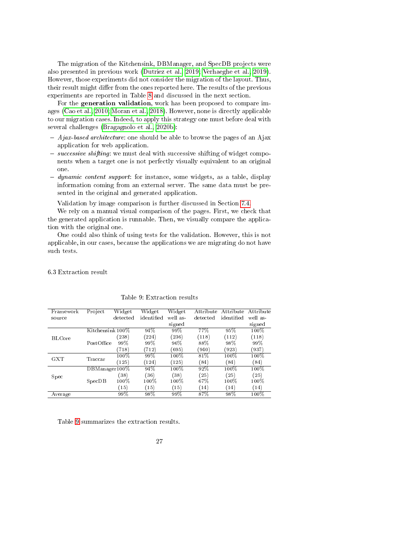The migration of the Kitchensink, DBManager, and SpecDB projects were also presented in previous work (Dutriez et al., 2019; Verhaeghe et al., 2019). However, those experiments did not consider the migration of the layout. Thus, their result might differ from the ones reported here. The results of the previous experiments are reported in Table 8 and discussed in the next section.

For the generation validation, work has been proposed to compare images (Cao et al., 2010; Moran et al., 2018). However, none is directly applicable to our migration cases. Indeed, to apply this strategy one must before deal with several challenges (Bragagnolo et al., 2020b):

- $-A$ *jax-based architecture*: one should be able to browse the pages of an Ajax application for web application.
- $s_0 = successive\ shifting$ : we must deal with successive shifting of widget components when a target one is not perfectly visually equivalent to an original one.
- $-dynamic content support: for instance, some widgets, as a table, display$ information coming from an external server. The same data must be presented in the original and generated application.

Validation by image comparison is further discussed in Section 7.4.

We rely on a manual visual comparison of the pages. First, we check that the generated application is runnable. Then, we visually compare the application with the original one.

One could also think of using tests for the validation. However, this is not applicable, in our cases, because the applications we are migrating do not have such tests.

6.3 Extraction result

| Framework     | Project          | Widget   | Widget     | Widget   | Attribute | Attribute  | Attribute |
|---------------|------------------|----------|------------|----------|-----------|------------|-----------|
| source        |                  | detected | identified | well as- | detected  | identified | well as-  |
|               |                  |          |            | signed   |           |            | signed    |
|               | Kitchensink 100% |          | 94%        | 99%      | 77%       | 95%        | 100%      |
| <b>BLCore</b> |                  | (238)    | (224)      | (236)    | (118)     | (112)      | (118)     |
|               | PostOffice       | 99%      | 99%        | 96%      | 88%       | 98%        | 99%       |
|               |                  | (718)    | (712)      | (695)    | (940)     | (923)      | (937)     |
| <b>GXT</b>    | Traccar          | 100%     | 99%        | 100%     | 81%       | 100%       | 100%      |
|               |                  | (125)    | (124)      | (125)    | (84)      | (84)       | (84)      |
|               | DBManager100%    |          | 94%        | 100%     | 92%       | 100%       | 100%      |
| Spec          |                  | (38)     | (36)       | (38)     | (25)      | (25)       | (25)      |
|               | SpecDB           | 100%     | 100%       | 100%     | 67%       | $100\%$    | 100%      |
|               |                  | (15)     | (15)       | (15)     | (14)      | (14)       | (14)      |
| Average       |                  | 99%      | 98%        | 99%      | 87%       | 98%        | $100\%$   |
|               |                  |          |            |          |           |            |           |

Table 9: Extraction results

Table 9 summarizes the extraction results.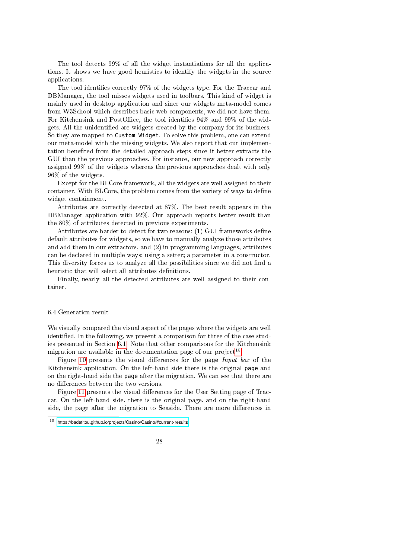The tool detects 99% of all the widget instantiations for all the applications. It shows we have good heuristics to identify the widgets in the source applications.

The tool identifies correctly 97% of the widgets type. For the Traccar and DBManager, the tool misses widgets used in toolbars. This kind of widget is mainly used in desktop application and since our widgets meta-model comes from W3School which describes basic web components, we did not have them. For Kitchensink and PostOffice, the tool identifies  $94\%$  and  $99\%$  of the widgets. All the unidentified are widgets created by the company for its business. So they are mapped to Custom Widget. To solve this problem, one can extend our meta-model with the missing widgets. We also report that our implementation benefited from the detailed approach steps since it better extracts the GUI than the previous approaches. For instance, our new approach correctly assigned 99% of the widgets whereas the previous approaches dealt with only 96% of the widgets.

Except for the BLCore framework, all the widgets are well assigned to their container. With BLCore, the problem comes from the variety of ways to define widget containment.

Attributes are correctly detected at 87%. The best result appears in the DBManager application with 92%. Our approach reports better result than the 80% of attributes detected in previous experiments.

Attributes are harder to detect for two reasons: (1) GUI frameworks define default attributes for widgets, so we have to manually analyze those attributes and add them in our extractors, and (2) in programming languages, attributes can be declared in multiple ways: using a setter; a parameter in a constructor. This diversity forces us to analyze all the possibilities since we did not find a heuristic that will select all attributes definitions.

Finally, nearly all the detected attributes are well assigned to their container.

#### 6.4 Generation result

We visually compared the visual aspect of the pages where the widgets are well identified. In the following, we present a comparison for three of the case studies presented in Section 6.1. Note that other comparisons for the Kitchensink migration are available in the documentation page of our project<sup>15</sup>.

Figure 10 presents the visual differences for the page  $Input$  box of the Kitchensink application. On the left-hand side there is the original page and on the right-hand side the page after the migration. We can see that there are no differences between the two versions.

Figure 11 presents the visual differences for the User Setting page of Traccar. On the left-hand side, there is the original page, and on the right-hand side, the page after the migration to Seaside. There are more differences in

<sup>15</sup> <https://badetitou.github.io/projects/Casino/Casino/#current-results>

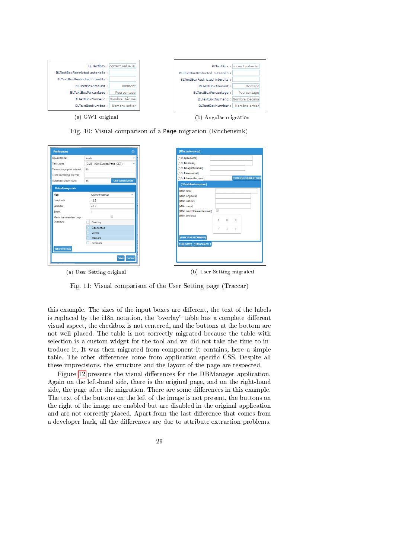|                                  | <b>BLTextBox:</b> correct value is |                                   | BLTextBox : correct value is |
|----------------------------------|------------------------------------|-----------------------------------|------------------------------|
| BLTextBoxRestricted autorisés :  |                                    | BLTextBoxRestricted autorisés :   |                              |
| BLTextBoxRestricted interdits:   |                                    | BLTextBoxRestricted interdits:    |                              |
| BLTextBoxAmount:                 | Montant                            | BLTextBoxAmount:                  | Montant                      |
| BLTextBoxPercentage:             | Pourcentage                        | BLTextBoxPercentage:              | Pourcentage                  |
| BLTextBoxNumeric : Nombre Décima |                                    | BLTextBoxNumeric : Nombre Décima  |                              |
| BLTextBoxNumber:                 | Nombre entier                      | BLTextBoxNumber :   Nombre entier |                              |
|                                  |                                    |                                   |                              |
| (a) GWT original                 |                                    | (b) Angular migration             |                              |

Fig. 10: Visual comparison of a Page migration (Kitchensink)

| Speed Units:                | knots          |                               |  |  |  |
|-----------------------------|----------------|-------------------------------|--|--|--|
| Time zone:                  |                | (GMT+1:00) Europe/Paris (CET) |  |  |  |
| Time stamps print interval: | 10             |                               |  |  |  |
| Trace recording interval:   |                |                               |  |  |  |
| Automatic zoom level:       | 16             | <b>Use current zoom</b>       |  |  |  |
| <b>Default map state</b>    |                |                               |  |  |  |
| Map:                        | OpenStreetMap  |                               |  |  |  |
| Longitude:                  | 12.5           |                               |  |  |  |
| Latitude:                   | 41.9           |                               |  |  |  |
| Zoom:                       | 1              |                               |  |  |  |
| Maximize overview map:      |                | A                             |  |  |  |
| Overlays:                   | Overlay        |                               |  |  |  |
|                             | Gen-fences     |                               |  |  |  |
|                             | Vector         |                               |  |  |  |
|                             | <b>Markers</b> |                               |  |  |  |
|                             | Seamark        |                               |  |  |  |
| <b>Take from map</b>        |                |                               |  |  |  |
|                             |                | Cancel<br>Save                |  |  |  |

| {i18n.speedunits}<br>{i18n.timezone}                                                             |   |                |                         |                     |
|--------------------------------------------------------------------------------------------------|---|----------------|-------------------------|---------------------|
| {i18n.timeprintinterval}<br>(i18n.traceinterval)<br>{i18n.followeddevicezd                       |   |                |                         | {I18N.USECURRENTZOO |
| {i18n.defaultmapstate}                                                                           |   |                |                         |                     |
| ${18n$ .map<br>{i18n.longitude}<br>{i18n.latitude}<br>${18n.zoom}$<br>{i18n.maximizeoverviewmap} | ⋒ |                |                         |                     |
| {i18n.overlays}                                                                                  | A | B.             | c                       |                     |
|                                                                                                  | ٦ | $\overline{2}$ | $\overline{\mathbf{3}}$ |                     |
| {I18N.TAKEFROMMAP}<br>{I18N.SAVE} {I18N.CANCEL}                                                  |   |                |                         |                     |

(a) User Setting original (b) User Setting migrated

Fig. 11: Visual comparison of the User Setting page (Traccar)

this example. The sizes of the input boxes are different, the text of the labels is replaced by the i18n notation, the "overlay" table has a complete different visual aspect, the checkbox is not centered, and the buttons at the bottom are not well placed. The table is not correctly migrated because the table with selection is a custom widget for the tool and we did not take the time to introduce it. It was then migrated from component it contains, here a simple table. The other differences come from application-specific CSS. Despite all these imprecisions, the structure and the layout of the page are respected.

Figure 12 presents the visual differences for the DBManager application. Again on the left-hand side, there is the original page, and on the right-hand side, the page after the migration. There are some differences in this example. The text of the buttons on the left of the image is not present, the buttons on the right of the image are enabled but are disabled in the original application and are not correctly placed. Apart from the last difference that comes from a developer hack, all the differences are due to attribute extraction problems.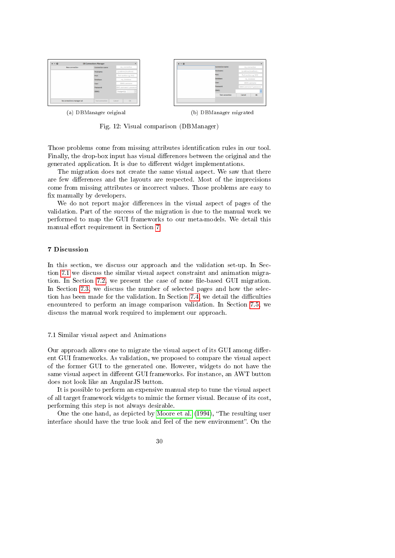

Fig. 12: Visual comparison (DBManager)

Those problems come from missing attributes identification rules in our tool. Finally, the drop-box input has visual differences between the original and the generated application. It is due to different widget implementations.

The migration does not create the same visual aspect. We saw that there are few differences and the layouts are respected. Most of the imprecisions come from missing attributes or incorrect values. Those problems are easy to x manually by developers.

We do not report major differences in the visual aspect of pages of the validation. Part of the success of the migration is due to the manual work we performed to map the GUI frameworks to our meta-models. We detail this manual effort requirement in Section 7.

# 7 Discussion

In this section, we discuss our approach and the validation set-up. In Section 7.1 we discuss the similar visual aspect constraint and animation migration. In Section 7.2, we present the case of none file-based GUI migration. In Section 7.3, we discuss the number of selected pages and how the selection has been made for the validation. In Section 7.4, we detail the difficulties encountered to perform an image comparison validation. In Section 7.5, we discuss the manual work required to implement our approach.

#### 7.1 Similar visual aspect and Animations

Our approach allows one to migrate the visual aspect of its GUI among different GUI frameworks. As validation, we proposed to compare the visual aspect of the former GUI to the generated one. However, widgets do not have the same visual aspect in different GUI frameworks. For instance, an AWT button does not look like an AngularJS button.

It is possible to perform an expensive manual step to tune the visual aspect of all target framework widgets to mimic the former visual. Because of its cost, performing this step is not always desirable.

One the one hand, as depicted by Moore et al. (1994), "The resulting user interface should have the true look and feel of the new environment". On the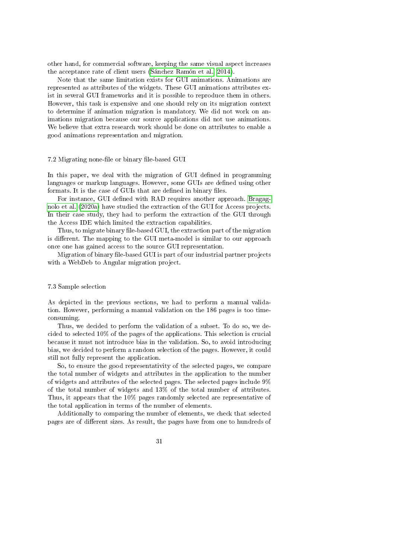other hand, for commercial software, keeping the same visual aspect increases the acceptance rate of client users (Sánchez Ramón et al., 2014).

Note that the same limitation exists for GUI animations. Animations are represented as attributes of the widgets. These GUI animations attributes exist in several GUI frameworks and it is possible to reproduce them in others. However, this task is expensive and one should rely on its migration context to determine if animation migration is mandatory. We did not work on animations migration because our source applications did not use animations. We believe that extra research work should be done on attributes to enable a good animations representation and migration.

#### 7.2 Migrating none-file or binary file-based GUI

In this paper, we deal with the migration of GUI defined in programming languages or markup languages. However, some GUIs are defined using other formats. It is the case of GUIs that are defined in binary files.

For instance, GUI defined with RAD requires another approach. Bragagnolo et al. (2020a) have studied the extraction of the GUI for Access projects. In their case study, they had to perform the extraction of the GUI through the Access IDE which limited the extraction capabilities.

Thus, to migrate binary file-based GUI, the extraction part of the migration is different. The mapping to the GUI meta-model is similar to our approach once one has gained access to the source GUI representation.

Migration of binary file-based GUI is part of our industrial partner projects with a WebDeb to Angular migration project.

# 7.3 Sample selection

As depicted in the previous sections, we had to perform a manual validation. However, performing a manual validation on the 186 pages is too timeconsuming.

Thus, we decided to perform the validation of a subset. To do so, we decided to selected 10% of the pages of the applications. This selection is crucial because it must not introduce bias in the validation. So, to avoid introducing bias, we decided to perform a random selection of the pages. However, it could still not fully represent the application.

So, to ensure the good representativity of the selected pages, we compare the total number of widgets and attributes in the application to the number of widgets and attributes of the selected pages. The selected pages include 9% of the total number of widgets and 13% of the total number of attributes. Thus, it appears that the 10% pages randomly selected are representative of the total application in terms of the number of elements.

Additionally to comparing the number of elements, we check that selected pages are of different sizes. As result, the pages have from one to hundreds of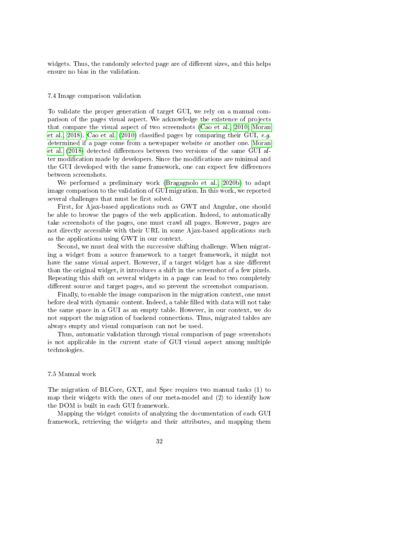widgets. Thus, the randomly selected page are of different sizes, and this helps ensure no bias in the validation.

#### 7.4 Image comparison validation

To validate the proper generation of target GUI, we rely on a manual comparison of the pages visual aspect. We acknowledge the existence of projects that compare the visual aspect of two screenshots (Cao et al., 2010; Moran et al., 2018). Cao et al. (2010) classified pages by comparing their GUI,  $e,q$ . determined if a page come from a newspaper website or another one. Moran et al. (2018) detected differences between two versions of the same GUI after modification made by developers. Since the modifications are minimal and the GUI developed with the same framework, one can expect few differences between screenshots.

We performed a preliminary work (Bragagnolo et al., 2020b) to adapt image comparison to the validation of GUI migration. In this work, we reported several challenges that must be first solved.

First, for Ajax-based applications such as GWT and Angular, one should be able to browse the pages of the web application. Indeed, to automatically take screenshots of the pages, one must crawl all pages. However, pages are not directly accessible with their URL in some Ajax-based applications such as the applications using GWT in our context.

Second, we must deal with the successive shifting challenge. When migrating a widget from a source framework to a target framework, it might not have the same visual aspect. However, if a target widget has a size different than the original widget, it introduces a shift in the screenshot of a few pixels. Repeating this shift on several widgets in a page can lead to two completely different source and target pages, and so prevent the screenshot comparison.

Finally, to enable the image comparison in the migration context, one must before deal with dynamic content. Indeed, a table filled with data will not take the same space in a GUI as an empty table. However, in our context, we do not support the migration of backend connections. Thus, migrated tables are always empty and visual comparison can not be used.

Thus, automatic validation through visual comparison of page screenshots is not applicable in the current state of GUI visual aspect among multiple technologies.

# 7.5 Manual work

The migration of BLCore, GXT, and Spec requires two manual tasks (1) to map their widgets with the ones of our meta-model and (2) to identify how the DOM is built in each GUI framework.

Mapping the widget consists of analyzing the documentation of each GUI framework, retrieving the widgets and their attributes, and mapping them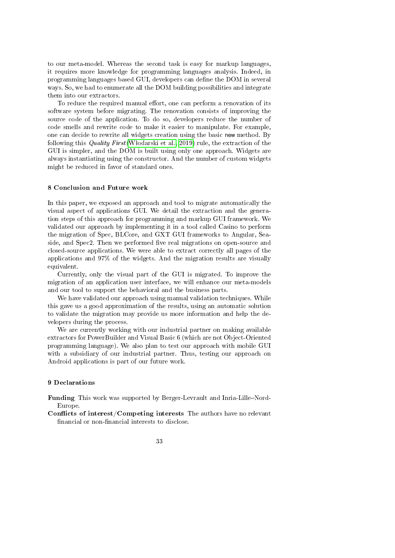to our meta-model. Whereas the second task is easy for markup languages, it requires more knowledge for programming languages analysis. Indeed, in programming languages based GUI, developers can dene the DOM in several ways. So, we had to enumerate all the DOM building possibilities and integrate them into our extractors.

To reduce the required manual effort, one can perform a renovation of its software system before migrating. The renovation consists of improving the source code of the application. To do so, developers reduce the number of code smells and rewrite code to make it easier to manipulate. For example, one can decide to rewrite all widgets creation using the basic new method. By following this *Quality First* (Włodarski et al., 2019) rule, the extraction of the GUI is simpler, and the DOM is built using only one approach. Widgets are always instantiating using the constructor. And the number of custom widgets might be reduced in favor of standard ones.

#### 8 Conclusion and Future work

In this paper, we exposed an approach and tool to migrate automatically the visual aspect of applications GUI. We detail the extraction and the generation steps of this approach for programming and markup GUI framework. We validated our approach by implementing it in a tool called Casino to perform the migration of Spec, BLCore, and GXT GUI frameworks to Angular, Seaside, and Spec2. Then we performed five real migrations on open-source and closed-source applications. We were able to extract correctly all pages of the applications and 97% of the widgets. And the migration results are visually equivalent.

Currently, only the visual part of the GUI is migrated. To improve the migration of an application user interface, we will enhance our meta-models and our tool to support the behavioral and the business parts.

We have validated our approach using manual validation techniques. While this gave us a good approximation of the results, using an automatic solution to validate the migration may provide us more information and help the developers during the process.

We are currently working with our industrial partner on making available extractors for PowerBuilder and Visual Basic 6 (which are not Object-Oriented programming language). We also plan to test our approach with mobile GUI with a subsidiary of our industrial partner. Thus, testing our approach on Android applications is part of our future work.

#### 9 Declarations

Funding This work was supported by Berger-Levrault and Inria-Lille-Nord-Europe.

Conflicts of interest/Competing interests The authors have no relevant financial or non-financial interests to disclose.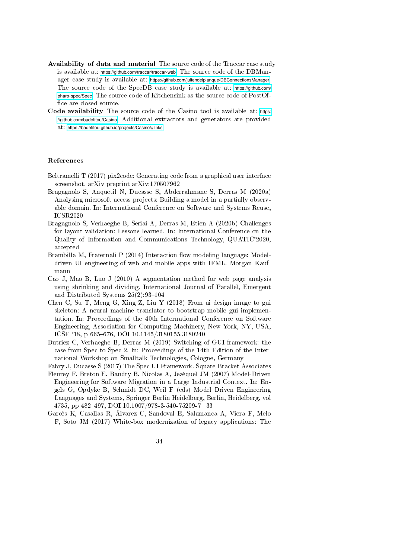- Availability of data and material The source code of the Traccar case study is available at: <https://github.com/traccar/traccar-web>. The source code of the DBManager case study is available at: <https://github.com/juliendelplanque/DBConnectionsManager>. The source code of the SpecDB case study is available at: [https://github.com/](https://github.com/pharo-spec/Spec) [pharo-spec/Spec](https://github.com/pharo-spec/Spec). The source code of Kitchensink as the source code of PostOf fice are closed-source.
- Code availability The source code of the Casino tool is available at: [https:](https://github.com/badetitou/Casino) [//github.com/badetitou/Casino](https://github.com/badetitou/Casino). Additional extractors and generators are provided at: <https://badetitou.github.io/projects/Casino/#links>.

#### References

- Beltramelli T (2017) pix2code: Generating code from a graphical user interface screenshot. arXiv preprint arXiv:170507962
- Bragagnolo S, Anquetil N, Ducasse S, Abderrahmane S, Derras M (2020a) Analysing microsoft access projects: Building a model in a partially observable domain. In: International Conference on Software and Systems Reuse, ICSR2020
- Bragagnolo S, Verhaeghe B, Seriai A, Derras M, Etien A (2020b) Challenges for layout validation: Lessons learned. In: International Conference on the Quality of Information and Communications Technology, QUATIC'2020, accepted
- Brambilla M, Fraternali P (2014) Interaction flow modeling language: Modeldriven UI engineering of web and mobile apps with IFML. Morgan Kaufmann
- Cao J, Mao B, Luo J (2010) A segmentation method for web page analysis using shrinking and dividing. International Journal of Parallel, Emergent and Distributed Systems  $25(2):93-104$
- Chen C, Su T, Meng G, Xing Z, Liu Y (2018) From ui design image to gui skeleton: A neural machine translator to bootstrap mobile gui implementation. In: Proceedings of the 40th International Conference on Software Engineering, Association for Computing Machinery, New York, NY, USA, ICSE '18, p 665-676, DOI 10.1145/3180155.3180240
- Dutriez C, Verhaeghe B, Derras M (2019) Switching of GUI framework: the case from Spec to Spec 2. In: Proceedings of the 14th Edition of the International Workshop on Smalltalk Technologies, Cologne, Germany
- Fabry J, Ducasse S (2017) The Spec UI Framework. Square Bracket Associates
- Fleurey F, Breton E, Baudry B, Nicolas A, Jezéquel JM (2007) Model-Driven Engineering for Software Migration in a Large Industrial Context. In: Engels G, Opdyke B, Schmidt DC, Weil F (eds) Model Driven Engineering Languages and Systems, Springer Berlin Heidelberg, Berlin, Heidelberg, vol 4735, pp 482-497, DOI 10.1007/978-3-540-75209-7\_33
- Garcés K, Casallas R, Álvarez C, Sandoval E, Salamanca A, Viera F, Melo F, Soto JM (2017) White-box modernization of legacy applications: The

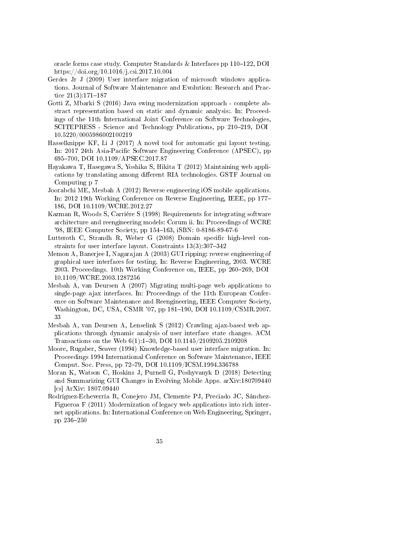oracle forms case study. Computer Standards & Interfaces pp  $110-122$ , DOI https://doi.org/10.1016/j.csi.2017.10.004

- Gerdes Jr J (2009) User interface migration of microsoft windows applications. Journal of Software Maintenance and Evolution: Research and Practice  $21(3):171-187$
- Gotti Z, Mbarki S (2016) Java swing modernization approach complete abstract representation based on static and dynamic analysis:. In: Proceedings of the 11th International Joint Conference on Software Technologies, SCITEPRESS - Science and Technology Publications, pp 210-219, DOI 10.5220/0005986002100219
- Hasselknippe KF, Li J (2017) A novel tool for automatic gui layout testing. In: 2017 24th Asia-Pacific Software Engineering Conference (APSEC), pp 695700, DOI 10.1109/APSEC.2017.87
- Hayakawa T, Hasegawa S, Yoshika S, Hikita T (2012) Maintaining web applications by translating among different RIA technologies. GSTF Journal on Computing p 7
- Joorabchi ME, Mesbah A (2012) Reverse engineering iOS mobile applications. In: 2012 19th Working Conference on Reverse Engineering, IEEE, pp 177 186, DOI 10.1109/WCRE.2012.27
- Kazman R, Woods S, Carriére S (1998) Requirements for integrating software architecture and reengineering models: Corum ii. In: Proceedings of WCRE '98, IEEE Computer Society, pp 154-163, iSBN: 0-8186-89-67-6
- Lutteroth C, Strandh R, Weber G (2008) Domain specific high-level constraints for user interface layout. Constraints  $13(3):307-342$
- Memon A, Banerjee I, Nagarajan A (2003) GUI ripping: reverse engineering of graphical user interfaces for testing. In: Reverse Engineering, 2003. WCRE 2003. Proceedings. 10th Working Conference on, IEEE, pp 260-269, DOI 10.1109/WCRE.2003.1287256
- Mesbah A, van Deursen A (2007) Migrating multi-page web applications to single-page ajax interfaces. In: Proceedings of the 11th European Conference on Software Maintenance and Reengineering, IEEE Computer Society, Washington, DC, USA, CSMR '07, pp 181-190, DOI 10.1109/CSMR.2007. 33
- Mesbah A, van Deursen A, Lenselink S (2012) Crawling ajax-based web applications through dynamic analysis of user interface state changes. ACM Transactions on the Web 6(1):130, DOI 10.1145/2109205.2109208
- Moore, Rugaber, Seaver (1994) Knowledge-based user interface migration. In: Proceedings 1994 International Conference on Software Maintenance, IEEE Comput. Soc. Press, pp 72-79, DOI 10.1109/ICSM.1994.336788
- Moran K, Watson C, Hoskins J, Purnell G, Poshyvanyk D (2018) Detecting and Summarizing GUI Changes in Evolving Mobile Apps. arXiv:180709440 [cs] ArXiv: 1807.09440
- Rodríguez-Echeverría R, Conejero JM, Clemente PJ, Preciado JC, Sánchez-Figueroa F (2011) Modernization of legacy web applications into rich internet applications. In: International Conference on Web Engineering, Springer, pp 236-250
	- 35